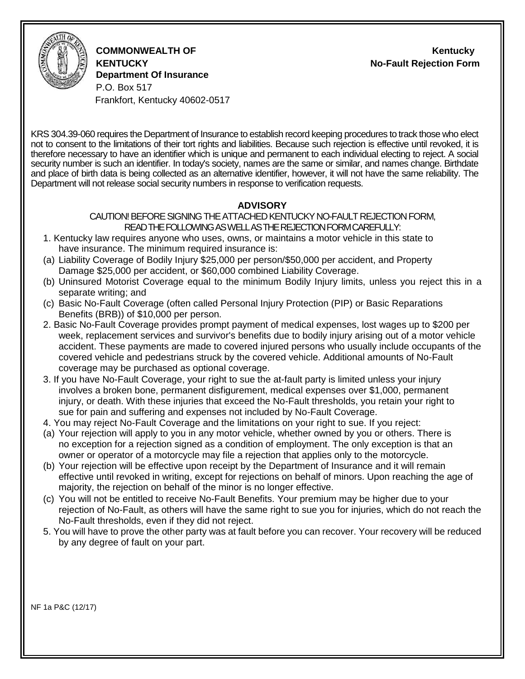

**COMMONWEALTH OF Kentucky KENTUCKY No-Fault Rejection Form Department Of Insurance** P.O. Box 517

Frankfort, Kentucky 40602-0517

KRS 304.39-060 requires the Department of Insurance to establish record keeping procedures to track those who elect not to consent to the limitations of their tort rights and liabilities. Because such rejection is effective until revoked, it is therefore necessary to have an identifier which is unique and permanent to each individual electing to reject. A social security number is such an identifier. In today's society, names are the same or similar, and names change. Birthdate and place of birth data is being collected as an alternative identifier, however, it will not have the same reliability. The Department will not release social security numbers in response to verification requests.

## **ADVISORY**

#### CAUTION! BEFORE SIGNING THE ATTACHED KENTUCKY NO-FAULT REJECTION FORM, READ THE FOLLOWING AS WELL AS THE REJECTION FORM CAREFULLY:

- 1. Kentucky law requires anyone who uses, owns, or maintains a motor vehicle in this state to have insurance. The minimum required insurance is:
- (a) Liability Coverage of Bodily Injury \$25,000 per person/\$50,000 per accident, and Property Damage \$25,000 per accident, or \$60,000 combined Liability Coverage.
- (b) Uninsured Motorist Coverage equal to the minimum Bodily Injury limits, unless you reject this in a separate writing; and
- (c) Basic No-Fault Coverage (often called Personal Injury Protection (PIP) or Basic Reparations Benefits (BRB)) of \$10,000 per person.
- 2. Basic No-Fault Coverage provides prompt payment of medical expenses, lost wages up to \$200 per week, replacement services and survivor's benefits due to bodily injury arising out of a motor vehicle accident. These payments are made to covered injured persons who usually include occupants of the covered vehicle and pedestrians struck by the covered vehicle. Additional amounts of No-Fault coverage may be purchased as optional coverage.
- 3. If you have No-Fault Coverage, your right to sue the at-fault party is limited unless your injury involves a broken bone, permanent disfigurement, medical expenses over \$1,000, permanent injury, or death. With these injuries that exceed the No-Fault thresholds, you retain your right to sue for pain and suffering and expenses not included by No-Fault Coverage.
- 4. You may reject No-Fault Coverage and the limitations on your right to sue. If you reject:
- (a) Your rejection will apply to you in any motor vehicle, whether owned by you or others. There is no exception for a rejection signed as a condition of employment. The only exception is that an owner or operator of a motorcycle may file a rejection that applies only to the motorcycle.
- (b) Your rejection will be effective upon receipt by the Department of Insurance and it will remain effective until revoked in writing, except for rejections on behalf of minors. Upon reaching the age of majority, the rejection on behalf of the minor is no longer effective.
- (c) You will not be entitled to receive No-Fault Benefits. Your premium may be higher due to your rejection of No-Fault, as others will have the same right to sue you for injuries, which do not reach the No-Fault thresholds, even if they did not reject.
- 5. You will have to prove the other party was at fault before you can recover. Your recovery will be reduced by any degree of fault on your part.

NF 1a P&C (12/17)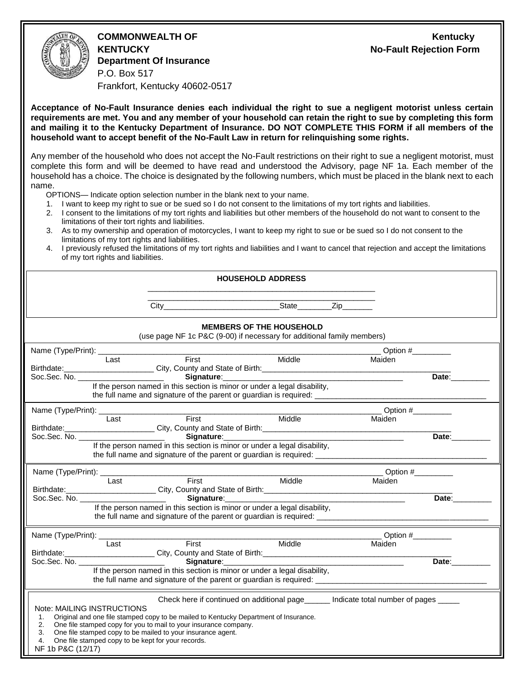**COMMONWEALTH OF Kentucky KENTUCKY No-Fault Rejection Form Department Of Insurance** P.O. Box 517 Frankfort, Kentucky 40602-0517

**Acceptance of No-Fault Insurance denies each individual the right to sue a negligent motorist unless certain requirements are met. You and any member of your household can retain the right to sue by completing this form and mailing it to the Kentucky Department of Insurance. DO NOT COMPLETE THIS FORM if all members of the household want to accept benefit of the No-Fault Law in return for relinquishing some rights.**

Any member of the household who does not accept the No-Fault restrictions on their right to sue a negligent motorist, must complete this form and will be deemed to have read and understood the Advisory, page NF 1a. Each member of the household has a choice. The choice is designated by the following numbers, which must be placed in the blank next to each name.

- OPTIONS— Indicate option selection number in the blank next to your name.
- 1. I want to keep my right to sue or be sued so I do not consent to the limitations of my tort rights and liabilities.
- 2. I consent to the limitations of my tort rights and liabilities but other members of the household do not want to consent to the limitations of their tort rights and liabilities.
- 3. As to my ownership and operation of motorcycles, I want to keep my right to sue or be sued so I do not consent to the limitations of my tort rights and liabilities.
- 4. I previously refused the limitations of my tort rights and liabilities and I want to cancel that rejection and accept the limitations of my tort rights and liabilities.

|                                                                                                                                           | <b>HOUSEHOLD ADDRESS</b>                                                                                                                                                                                                                                                                                         |  |                            |                              |  |  |  |  |
|-------------------------------------------------------------------------------------------------------------------------------------------|------------------------------------------------------------------------------------------------------------------------------------------------------------------------------------------------------------------------------------------------------------------------------------------------------------------|--|----------------------------|------------------------------|--|--|--|--|
|                                                                                                                                           |                                                                                                                                                                                                                                                                                                                  |  |                            |                              |  |  |  |  |
| <b>MEMBERS OF THE HOUSEHOLD</b><br>(use page NF 1c P&C (9-00) if necessary for additional family members)                                 |                                                                                                                                                                                                                                                                                                                  |  |                            |                              |  |  |  |  |
| Name (Type/Print): _                                                                                                                      |                                                                                                                                                                                                                                                                                                                  |  | <b>Example 10</b> Option # |                              |  |  |  |  |
| Last                                                                                                                                      | First Middle                                                                                                                                                                                                                                                                                                     |  | Maiden                     |                              |  |  |  |  |
|                                                                                                                                           | Birthdate: City, County and State of Birth: County and State of Birth:                                                                                                                                                                                                                                           |  |                            |                              |  |  |  |  |
| Soc.Sec. No. ________________________                                                                                                     | If the person named in this section is minor or under a legal disability,                                                                                                                                                                                                                                        |  |                            | Date:                        |  |  |  |  |
|                                                                                                                                           |                                                                                                                                                                                                                                                                                                                  |  |                            |                              |  |  |  |  |
|                                                                                                                                           | Name (Type/Print): Last First First Middle                                                                                                                                                                                                                                                                       |  |                            |                              |  |  |  |  |
| Last                                                                                                                                      |                                                                                                                                                                                                                                                                                                                  |  | Maiden                     |                              |  |  |  |  |
|                                                                                                                                           |                                                                                                                                                                                                                                                                                                                  |  |                            |                              |  |  |  |  |
|                                                                                                                                           | If the person named in this section is minor or under a legal disability,                                                                                                                                                                                                                                        |  |                            | Date:__________              |  |  |  |  |
|                                                                                                                                           |                                                                                                                                                                                                                                                                                                                  |  |                            |                              |  |  |  |  |
| Name (Type/Print): Last Fi                                                                                                                |                                                                                                                                                                                                                                                                                                                  |  |                            | $\sqrt{$ Option # $\sqrt{ }$ |  |  |  |  |
| Last                                                                                                                                      | First Middle                                                                                                                                                                                                                                                                                                     |  | Maiden                     |                              |  |  |  |  |
|                                                                                                                                           |                                                                                                                                                                                                                                                                                                                  |  |                            |                              |  |  |  |  |
| Soc.Sec. No. _________________________                                                                                                    | If the person named in this section is minor or under a legal disability,                                                                                                                                                                                                                                        |  |                            | Date:                        |  |  |  |  |
|                                                                                                                                           |                                                                                                                                                                                                                                                                                                                  |  |                            |                              |  |  |  |  |
|                                                                                                                                           |                                                                                                                                                                                                                                                                                                                  |  |                            |                              |  |  |  |  |
|                                                                                                                                           | Name (Type/Print): Last First First Middle                                                                                                                                                                                                                                                                       |  | Maiden                     |                              |  |  |  |  |
|                                                                                                                                           | Birthdate: City, County and State of Birth: 2008 2014                                                                                                                                                                                                                                                            |  |                            |                              |  |  |  |  |
| Soc.Sec. No. ________________________                                                                                                     | Signature: Management Signature:<br>If the person named in this section is minor or under a legal disability,                                                                                                                                                                                                    |  |                            | Date:                        |  |  |  |  |
|                                                                                                                                           |                                                                                                                                                                                                                                                                                                                  |  |                            |                              |  |  |  |  |
| Note: MAILING INSTRUCTIONS<br>1 <sup>1</sup><br>2.<br>3.<br>One file stamped copy to be kept for your records.<br>4.<br>NF 1b P&C (12/17) | Check here if continued on additional page______ Indicate total number of pages _____<br>Original and one file stamped copy to be mailed to Kentucky Department of Insurance.<br>One file stamped copy for you to mail to your insurance company.<br>One file stamped copy to be mailed to your insurance agent. |  |                            |                              |  |  |  |  |